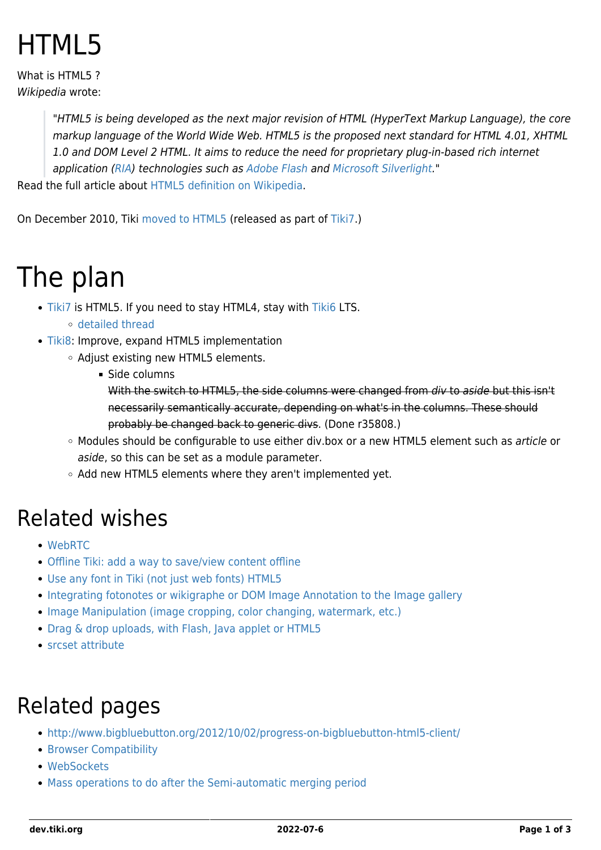# HTML5

What is HTML5? Wikipedia wrote:

> "HTML5 is being developed as the next major revision of HTML (HyperText Markup Language), the core markup language of the World Wide Web. HTML5 is the proposed next standard for HTML 4.01, XHTML 1.0 and DOM Level 2 HTML. It aims to reduce the need for proprietary plug-in-based rich internet application ([RIA](http://en.wikipedia.org/wiki/Rich_Internet_Application)) technologies such as [Adobe Flash](http://en.wikipedia.org/wiki/Adobe_Flash) and [Microsoft Silverlight](http://en.wikipedia.org/wiki/Microsoft_Silverlight)."

Read the full article about [HTML5 definition on Wikipedia.](http://en.wikipedia.org/wiki/HTML5)

On December 2010, Tiki [moved to HTML5](http://tikiwiki.svn.sourceforge.net/viewvc/tikiwiki?view=revision&revision=31122) (released as part of [Tiki7](http://doc.tiki.org/Tiki7).)

## The plan

- [Tiki7](https://dev.tiki.org/Tiki7) is HTML5. If you need to stay HTML4, stay with [Tiki6](https://dev.tiki.org/Tiki6) LTS.
	- [detailed thread](http://thread.gmane.org/gmane.comp.cms.tiki.devel/16906/focus=16961)
- [Tiki8:](https://dev.tiki.org/Tiki8) Improve, expand HTML5 implementation
	- Adjust existing new HTML5 elements.
		- Side columns

With the switch to HTML5, the side columns were changed from div to aside but this isn't necessarily semantically accurate, depending on what's in the columns. These should probably be changed back to generic divs. (Done r35808.)

- Modules should be configurable to use either div.box or a new HTML5 element such as article or aside, so this can be set as a module parameter.
- Add new HTML5 elements where they aren't implemented yet.

#### Related wishes

- [WebRTC](https://dev.tiki.org/WebRTC)
- [Offline Tiki: add a way to save/view content offline](https://dev.tiki.org/wish1413)
- [Use any font in Tiki \(not just web fonts\) HTML5](https://dev.tiki.org/wish1582)
- [Integrating fotonotes or wikigraphe or DOM Image Annotation to the Image gallery](https://dev.tiki.org/wish909)
- [Image Manipulation \(image cropping, color changing, watermark, etc.\)](https://dev.tiki.org/wish1767)
- [Drag & drop uploads, with Flash, Java applet or HTML5](https://dev.tiki.org/wish1756)
- [srcset attribute](https://dev.tiki.org/srcset-attribute)

### Related pages

- <http://www.bigbluebutton.org/2012/10/02/progress-on-bigbluebutton-html5-client/>
- **[Browser Compatibility](https://dev.tiki.org/Browser-Compatibility)**
- [WebSockets](https://dev.tiki.org/WebSockets)
- [Mass operations to do after the Semi-automatic merging period](https://dev.tiki.org/Mass-operations-to-do-after-the-Semi-automatic-merging-period)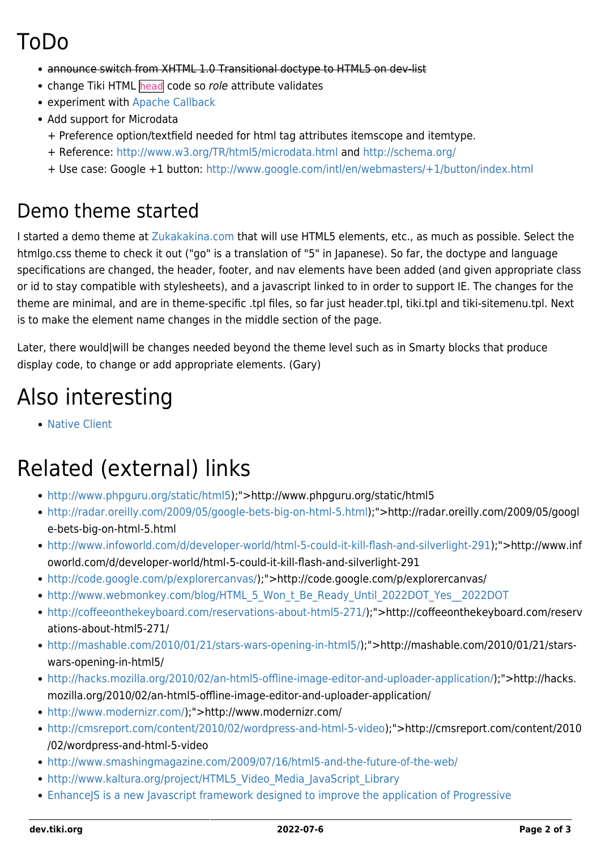### ToDo

- announce switch from XHTML 1.0 Transitional doctype to HTML5 on dev-list
- change Tiki HTML head code so role attribute validates
- experiment with [Apache Callback](https://dev.tiki.org/Apache-Callback)
- Add support for Microdata
	- + Preference option/textfield needed for html tag attributes itemscope and itemtype.
	- + Reference: <http://www.w3.org/TR/html5/microdata.html>and <http://schema.org/>
	- + Use case: Google +1 button:<http://www.google.com/intl/en/webmasters/+1/button/index.html>

#### Demo theme started

I started a demo theme at [Zukakakina.com](http://zukakakina.com) that will use HTML5 elements, etc., as much as possible. Select the htmlgo.css theme to check it out ("go" is a translation of "5" in Japanese). So far, the doctype and language specifications are changed, the header, footer, and nav elements have been added (and given appropriate class or id to stay compatible with stylesheets), and a javascript linked to in order to support IE. The changes for the theme are minimal, and are in theme-specific .tpl files, so far just header.tpl, tiki.tpl and tiki-sitemenu.tpl. Next is to make the element name changes in the middle section of the page.

Later, there would|will be changes needed beyond the theme level such as in Smarty blocks that produce display code, to change or add appropriate elements. (Gary)

### Also interesting

[Native Client](https://dev.tiki.org/Native-Client)

### Related (external) links

- [http://www.phpguru.org/static/html5\)](http://www.phpguru.org/static/html5);">http://www.phpguru.org/static/html5
- <http://radar.oreilly.com/2009/05/google-bets-big-on-html-5.html>);">http://radar.oreilly.com/2009/05/googl e-bets-big-on-html-5.html
- <http://www.infoworld.com/d/developer-world/html-5-could-it-kill-flash-and-silverlight-291>);">http://www.inf oworld.com/d/developer-world/html-5-could-it-kill-flash-and-silverlight-291
- [http://code.google.com/p/explorercanvas/\)](http://code.google.com/p/explorercanvas/);">http://code.google.com/p/explorercanvas/
- http://www.webmonkey.com/blog/HTML 5 Won t Be Ready Until 2022DOT Yes 2022DOT
- <http://coffeeonthekeyboard.com/reservations-about-html5-271/>);">http://coffeeonthekeyboard.com/reserv ations-about-html5-271/
- [http://mashable.com/2010/01/21/stars-wars-opening-in-html5/\)](http://mashable.com/2010/01/21/stars-wars-opening-in-html5/);">http://mashable.com/2010/01/21/starswars-opening-in-html5/
- [http://hacks.mozilla.org/2010/02/an-html5-offline-image-editor-and-uploader-application/\)](http://hacks.mozilla.org/2010/02/an-html5-offline-image-editor-and-uploader-application/);">http://hacks. mozilla.org/2010/02/an-html5-offline-image-editor-and-uploader-application/
- [http://www.modernizr.com/\)](http://www.modernizr.com/);">http://www.modernizr.com/
- <http://cmsreport.com/content/2010/02/wordpress-and-html-5-video>);">http://cmsreport.com/content/2010 /02/wordpress-and-html-5-video
- <http://www.smashingmagazine.com/2009/07/16/html5-and-the-future-of-the-web/>
- http://www.kaltura.org/project/HTML5 Video Media JavaScript Library
- [EnhanceJS is a new Javascript framework designed to improve the application of Progressive](http://code.google.com/p/enhancejs/)